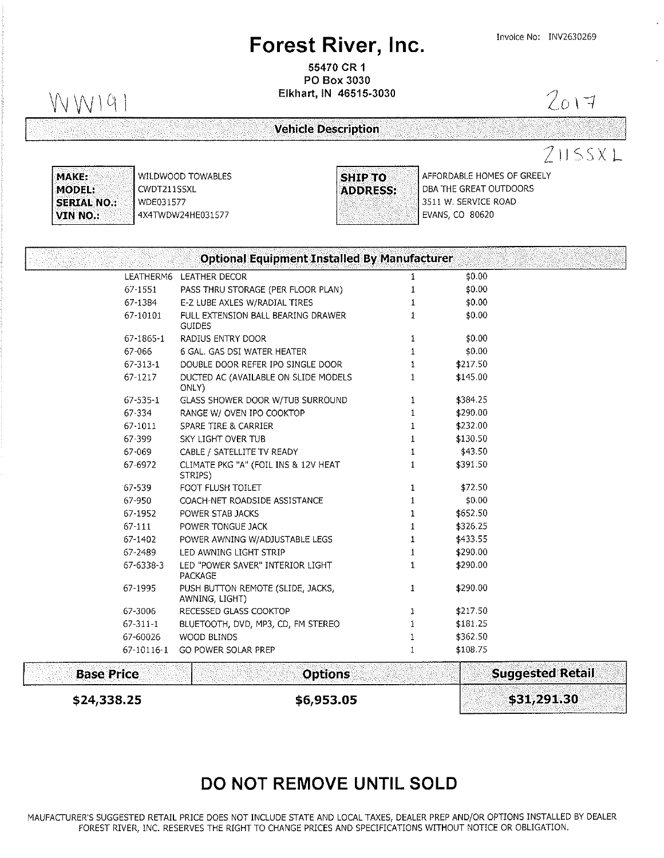# Forest River, Inc. Invoice No: INV2630269

55470 CR <sup>1</sup> PO Box 3030

 $\bigvee \bigvee \bigvee$   $\bigvee$   $\bigvee$   $\bigvee$   $\bigvee$   $\bigvee$   $\bigvee$   $\bigvee$   $\bigvee$   $\bigvee$   $\bigvee$   $\bigvee$   $\bigvee$   $\bigvee$   $\bigvee$   $\bigvee$   $\bigvee$   $\bigvee$   $\bigvee$   $\bigvee$   $\bigvee$   $\bigvee$   $\bigvee$   $\bigvee$   $\bigvee$   $\bigvee$   $\bigvee$   $\bigvee$   $\bigvee$   $\bigvee$   $\big$ 

Vehicle Description

 $2017$ 

 $211$  ssx L

MAKE: MODEL: SERIAL NO.: VIN NO.:

WILDWOOD TOWABLES CWDT211SSXL wDE031577 4X4TWDW24HEO31577



AFFORDABLE HOMES OF GREELY DBA THE GREAT OUTDOORS 3511 W. SERVICE ROAD EVANS. CO 80620

|                   | <b>Optional Equipment Installed By Manufacturer</b> |              |                         |
|-------------------|-----------------------------------------------------|--------------|-------------------------|
|                   | LEATHERM6 LEATHER DECOR                             | 1            | \$0.00                  |
| 67-1551           | PASS THRU STORAGE (PER FLOOR PLAN)                  | 1            | \$0.00                  |
| 67-1384           | E-Z LUBE AXLES W/RADIAL TIRES                       | 1            | \$0.00                  |
| 67-10101          | FULL EXTENSION BALL BEARING DRAWER<br><b>GUIDES</b> | 1            | \$0.00                  |
| 67-1865-1         | RADIUS ENTRY DOOR                                   | 1            | \$0.00                  |
| 67-066            | 6 GAL, GAS DSI WATER HEATER                         | 1            | \$0.00                  |
| $67 - 313 - 1$    | DOUBLE DOOR REFER IPO SINGLE DOOR                   | 1            | \$217.50                |
| $67 - 1217$       | DUCTED AC (AVAILABLE ON SLIDE MODELS<br>ONLY)       | $\mathbf{1}$ | \$145.00                |
| 67-535-1          | GLASS SHOWER DOOR W/TUB SURROUND                    | 1            | \$384.25                |
| 67-334            | RANGE W/ OVEN IPO COOKTOP                           | 1            | \$290.00                |
| 67-1011           | SPARE TIRE & CARRIER                                | 1            | \$232.00                |
| 67-399            | SKY LIGHT OVER TUB                                  | $\mathbf{1}$ | \$130.50                |
| 67-069            | CABLE / SATELLITE TV READY                          | $\mathbf{1}$ | \$43.50                 |
| 67-6972           | CLIMATE PKG "A" (FOIL INS & 12V HEAT<br>STRIPS)     | $\mathbf{1}$ | \$391.50                |
| 67-539            | FOOT FLUSH TOILET                                   | $\mathbf{1}$ | \$72.50                 |
| 67-950            | COACH-NET ROADSIDE ASSISTANCE                       | $\mathbf{1}$ | \$0.00                  |
| 67-1952           | POWER STAB JACKS                                    | $\mathbf{1}$ | \$652.50                |
| 67-111            | POWER TONGUE JACK                                   | $\mathbf{1}$ | \$326.25                |
| 67-1402           | POWER AWNING W/ADJUSTABLE LEGS                      | 1            | \$433.55                |
| 67-2489           | LED AWNING LIGHT STRIP                              | 1            | \$290.00                |
| $67 - 6338 - 3$   | LED "POWER SAVER" INTERIOR LIGHT<br>PACKAGE         | 1            | \$290.00                |
| 67-1995           | PUSH BUTTON REMOTE (SLIDE, JACKS,<br>AWNING, LIGHT) | 1            | \$290.00                |
| 67-3006           | RECESSED GLASS COOKTOP                              | 1            | \$217.50                |
| $67 - 311 - 1$    | BLUETOOTH, DVD, MP3, CD, FM STEREO                  | 1            | \$181.25                |
| 67-60026          | WOOD BLINDS                                         | $\mathbf{1}$ | \$362.50                |
| 67-10116-1        | GO POWER SOLAR PREP                                 | $\mathbf{1}$ | \$108.75                |
| <b>Base Price</b> | <b>Options</b>                                      |              | <b>Suggested Retail</b> |

## DO NOT REMOVE UNTIL SOLD

 $$24,338.25$   $$6,953.05$   $$31,291.30$ 

MAUFACTURER'S SUGGESTED RETAIL PRICE DOES NOT INCLUDE STATE AND LOCAL TAXES, DEALER PREP AND/OR OPTONS INSTALLED BY DEALER FOREST RIVER, INC. RESERVES THE RIGHT TO CHANGE PRICES AND SPECIFICATONS WITHOUT NOTICE OR OBLIGATION.